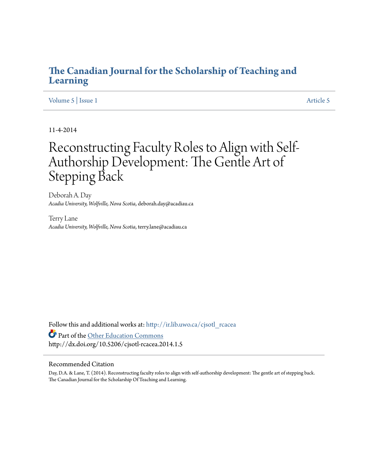### **[The Canadian Journal for the Scholarship of Teaching and](http://ir.lib.uwo.ca/cjsotl_rcacea?utm_source=ir.lib.uwo.ca%2Fcjsotl_rcacea%2Fvol5%2Fiss1%2F5&utm_medium=PDF&utm_campaign=PDFCoverPages) [Learning](http://ir.lib.uwo.ca/cjsotl_rcacea?utm_source=ir.lib.uwo.ca%2Fcjsotl_rcacea%2Fvol5%2Fiss1%2F5&utm_medium=PDF&utm_campaign=PDFCoverPages)**

#### [Volume 5](http://ir.lib.uwo.ca/cjsotl_rcacea/vol5?utm_source=ir.lib.uwo.ca%2Fcjsotl_rcacea%2Fvol5%2Fiss1%2F5&utm_medium=PDF&utm_campaign=PDFCoverPages) | [Issue 1](http://ir.lib.uwo.ca/cjsotl_rcacea/vol5/iss1?utm_source=ir.lib.uwo.ca%2Fcjsotl_rcacea%2Fvol5%2Fiss1%2F5&utm_medium=PDF&utm_campaign=PDFCoverPages) [Article 5](http://ir.lib.uwo.ca/cjsotl_rcacea/vol5/iss1/5?utm_source=ir.lib.uwo.ca%2Fcjsotl_rcacea%2Fvol5%2Fiss1%2F5&utm_medium=PDF&utm_campaign=PDFCoverPages)

11-4-2014

# Reconstructing Faculty Roles to Align with Self-Authorship Development: The Gentle Art of Stepping Back

Deborah A. Day *Acadia University, Wolfville, Nova Scotia*, deborah.day@acadiau.ca

Terry Lane *Acadia University, Wolfville, Nova Scotia*, terry.lane@acadiau.ca

Follow this and additional works at: [http://ir.lib.uwo.ca/cjsotl\\_rcacea](http://ir.lib.uwo.ca/cjsotl_rcacea?utm_source=ir.lib.uwo.ca%2Fcjsotl_rcacea%2Fvol5%2Fiss1%2F5&utm_medium=PDF&utm_campaign=PDFCoverPages) Part of the [Other Education Commons](http://network.bepress.com/hgg/discipline/811?utm_source=ir.lib.uwo.ca%2Fcjsotl_rcacea%2Fvol5%2Fiss1%2F5&utm_medium=PDF&utm_campaign=PDFCoverPages) http://dx.doi.org/10.5206/cjsotl-rcacea.2014.1.5

#### Recommended Citation

Day, D.A. & Lane, T. (2014). Reconstructing faculty roles to align with self-authorship development: The gentle art of stepping back. The Canadian Journal for the Scholarship Of Teaching and Learning.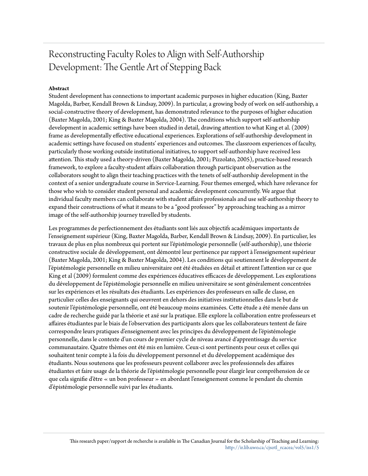## Reconstructing Faculty Roles to Align with Self-Authorship Development: The Gentle Art of Stepping Back

#### **Abstract**

Student development has connections to important academic purposes in higher education (King, Baxter Magolda, Barber, Kendall Brown & Lindsay, 2009). In particular, a growing body of work on self-authorship, a social-constructive theory of development, has demonstrated relevance to the purposes of higher education (Baxter Magolda, 2001; King & Baxter Magolda, 2004). The conditions which support self-authorship development in academic settings have been studied in detail, drawing attention to what King et al. (2009) frame as developmentally effective educational experiences. Explorations of self-authorship development in academic settings have focused on students' experiences and outcomes. The classroom experiences of faculty, particularly those working outside institutional initiatives, to support self-authorship have received less attention. This study used a theory-driven (Baxter Magolda, 2001; Pizzolato, 2005), practice-based research framework, to explore a faculty-student affairs collaboration through participant observation as the collaborators sought to align their teaching practices with the tenets of self-authorship development in the context of a senior undergraduate course in Service-Learning. Four themes emerged, which have relevance for those who wish to consider student personal and academic development concurrently. We argue that individual faculty members can collaborate with student affairs professionals and use self-authorship theory to expand their constructions of what it means to be a "good professor" by approaching teaching as a mirror image of the self-authorship journey travelled by students.

Les programmes de perfectionnement des étudiants sont liés aux objectifs académiques importants de l'enseignement supérieur (King, Baxter Magolda, Barber, Kendall Brown & Lindsay, 2009). En particulier, les travaux de plus en plus nombreux qui portent sur l'épistémologie personnelle (self-authorship), une théorie constructive sociale de développement, ont démontré leur pertinence par rapport à l'enseignement supérieur (Baxter Magolda, 2001; King & Baxter Magolda, 2004). Les conditions qui soutiennent le développement de l'épistémologie personnelle en milieu universitaire ont été étudiées en détail et attirent l'attention sur ce que King et al (2009) formulent comme des expériences éducatives efficaces de développement. Les explorations du développement de l'épistémologie personnelle en milieu universitaire se sont généralement concentrées sur les expériences et les résultats des étudiants. Les expériences des professeurs en salle de classe, en particulier celles des enseignants qui oeuvrent en dehors des initiatives institutionnelles dans le but de soutenir l'épistémologie personnelle, ont été beaucoup moins examinées. Cette étude a été menée dans un cadre de recherche guidé par la théorie et axé sur la pratique. Elle explore la collaboration entre professeurs et affaires étudiantes par le biais de l'observation des participants alors que les collaborateurs tentent de faire correspondre leurs pratiques d'enseignement avec les principes du développement de l'épistémologie personnelle, dans le contexte d'un cours de premier cycle de niveau avancé d'apprentissage du service communautaire. Quatre thèmes ont été mis en lumière. Ceux-ci sont pertinents pour ceux et celles qui souhaitent tenir compte à la fois du développement personnel et du développement académique des étudiants. Nous soutenons que les professeurs peuvent collaborer avec les professionnels des affaires étudiantes et faire usage de la théorie de l'épistémologie personnelle pour élargir leur compréhension de ce que cela signifie d'être « un bon professeur » en abordant l'enseignement comme le pendant du chemin d'épistémologie personnelle suivi par les étudiants.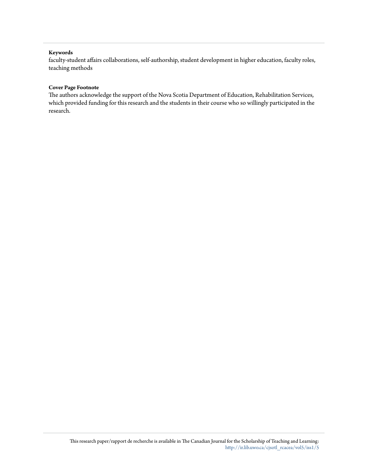#### **Keywords**

faculty-student affairs collaborations, self-authorship, student development in higher education, faculty roles, teaching methods

#### **Cover Page Footnote**

The authors acknowledge the support of the Nova Scotia Department of Education, Rehabilitation Services, which provided funding for this research and the students in their course who so willingly participated in the research.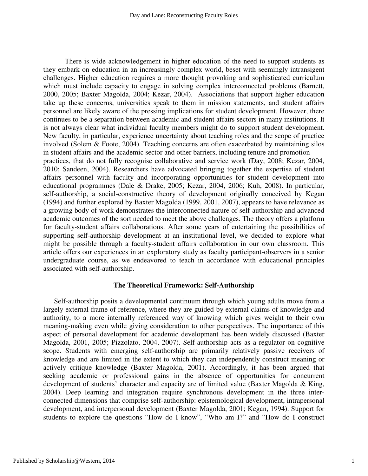There is wide acknowledgement in higher education of the need to support students as they embark on education in an increasingly complex world, beset with seemingly intransigent challenges. Higher education requires a more thought provoking and sophisticated curriculum which must include capacity to engage in solving complex interconnected problems (Barnett, 2000, 2005; Baxter Magolda, 2004; Kezar, 2004). Associations that support higher education take up these concerns, universities speak to them in mission statements, and student affairs personnel are likely aware of the pressing implications for student development. However, there continues to be a separation between academic and student affairs sectors in many institutions. It is not always clear what individual faculty members might do to support student development. New faculty, in particular, experience uncertainty about teaching roles and the scope of practice involved (Solem & Foote, 2004). Teaching concerns are often exacerbated by maintaining silos in student affairs and the academic sector and other barriers, including tenure and promotion practices, that do not fully recognise collaborative and service work (Day, 2008; Kezar, 2004, 2010; Sandeen, 2004). Researchers have advocated bringing together the expertise of student affairs personnel with faculty and incorporating opportunities for student development into educational programmes (Dale & Drake, 2005; Kezar, 2004, 2006; Kuh, 2008). In particular, self-authorship, a social-constructive theory of development originally conceived by Kegan (1994) and further explored by Baxter Magolda (1999, 2001, 2007), appears to have relevance as a growing body of work demonstrates the interconnected nature of self-authorship and advanced academic outcomes of the sort needed to meet the above challenges. The theory offers a platform for faculty-student affairs collaborations. After some years of entertaining the possibilities of supporting self-authorship development at an institutional level, we decided to explore what might be possible through a faculty-student affairs collaboration in our own classroom. This article offers our experiences in an exploratory study as faculty participant-observers in a senior undergraduate course, as we endeavored to teach in accordance with educational principles associated with self-authorship.

#### **The Theoretical Framework: Self-Authorship**

 Self-authorship posits a developmental continuum through which young adults move from a largely external frame of reference, where they are guided by external claims of knowledge and authority, to a more internally referenced way of knowing which gives weight to their own meaning-making even while giving consideration to other perspectives. The importance of this aspect of personal development for academic development has been widely discussed (Baxter Magolda, 2001, 2005; Pizzolato, 2004, 2007). Self-authorship acts as a regulator on cognitive scope. Students with emerging self-authorship are primarily relatively passive receivers of knowledge and are limited in the extent to which they can independently construct meaning or actively critique knowledge (Baxter Magolda, 2001). Accordingly, it has been argued that seeking academic or professional gains in the absence of opportunities for concurrent development of students' character and capacity are of limited value (Baxter Magolda & King, 2004). Deep learning and integration require synchronous development in the three interconnected dimensions that comprise self-authorship: epistemological development, intrapersonal development, and interpersonal development (Baxter Magolda, 2001; Kegan, 1994). Support for students to explore the questions "How do I know", "Who am I?" and "How do I construct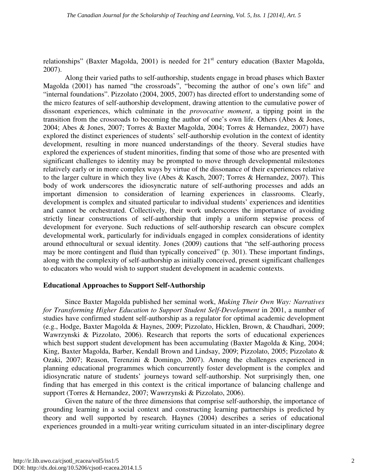relationships" (Baxter Magolda, 2001) is needed for  $21<sup>st</sup>$  century education (Baxter Magolda, 2007).

Along their varied paths to self-authorship, students engage in broad phases which Baxter Magolda (2001) has named "the crossroads", "becoming the author of one's own life" and "internal foundations". Pizzolato (2004, 2005, 2007) has directed effort to understanding some of the micro features of self-authorship development, drawing attention to the cumulative power of dissonant experiences, which culminate in the *provocative moment*, a tipping point in the transition from the crossroads to becoming the author of one's own life. Others (Abes & Jones, 2004; Abes & Jones, 2007; Torres & Baxter Magolda, 2004; Torres & Hernandez, 2007) have explored the distinct experiences of students' self-authorship evolution in the context of identity development, resulting in more nuanced understandings of the theory. Several studies have explored the experiences of student minorities, finding that some of those who are presented with significant challenges to identity may be prompted to move through developmental milestones relatively early or in more complex ways by virtue of the dissonance of their experiences relative to the larger culture in which they live (Abes & Kasch, 2007; Torres & Hernandez, 2007). This body of work underscores the idiosyncratic nature of self-authoring processes and adds an important dimension to consideration of learning experiences in classrooms. Clearly, development is complex and situated particular to individual students' experiences and identities and cannot be orchestrated. Collectively, their work underscores the importance of avoiding strictly linear constructions of self-authorship that imply a uniform stepwise process of development for everyone. Such reductions of self-authorship research can obscure complex developmental work, particularly for individuals engaged in complex considerations of identity around ethnocultural or sexual identity. Jones (2009) cautions that "the self-authoring process may be more contingent and fluid than typically conceived" (p. 301). These important findings, along with the complexity of self-authorship as initially conceived, present significant challenges to educators who would wish to support student development in academic contexts.

#### **Educational Approaches to Support Self-Authorship**

Since Baxter Magolda published her seminal work, *Making Their Own Way: Narratives for Transforming Higher Education to Support Student Self-Development* in 2001, a number of studies have confirmed student self-authorship as a regulator for optimal academic development (e.g., Hodge, Baxter Magolda & Haynes, 2009; Pizzolato, Hicklen, Brown, & Chaudhari, 2009; Wawrzynski & Pizzolato, 2006). Research that reports the sorts of educational experiences which best support student development has been accumulating (Baxter Magolda & King, 2004; King, Baxter Magolda, Barber, Kendall Brown and Lindsay, 2009; Pizzolato, 2005; Pizzolato & Ozaki, 2007; Reason, Terenzini & Domingo, 2007). Among the challenges experienced in planning educational programmes which concurrently foster development is the complex and idiosyncratic nature of students' journeys toward self-authorship. Not surprisingly then, one finding that has emerged in this context is the critical importance of balancing challenge and support (Torres & Hernandez, 2007; Wawrzynski & Pizzolato, 2006).

Given the nature of the three dimensions that comprise self-authorship, the importance of grounding learning in a social context and constructing learning partnerships is predicted by theory and well supported by research. Haynes (2004) describes a series of educational experiences grounded in a multi-year writing curriculum situated in an inter-disciplinary degree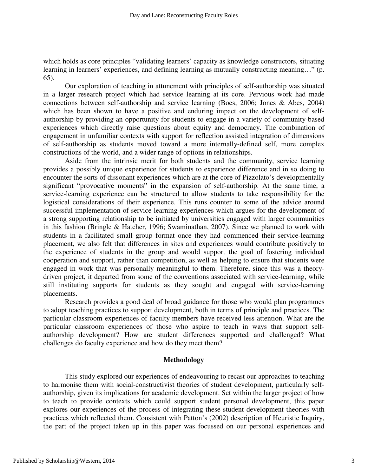which holds as core principles "validating learners' capacity as knowledge constructors, situating learning in learners' experiences, and defining learning as mutually constructing meaning…" (p. 65).

Our exploration of teaching in attunement with principles of self-authorship was situated in a larger research project which had service learning at its core. Pervious work had made connections between self-authorship and service learning (Boes, 2006; Jones & Abes, 2004) which has been shown to have a positive and enduring impact on the development of selfauthorship by providing an opportunity for students to engage in a variety of community-based experiences which directly raise questions about equity and democracy. The combination of engagement in unfamiliar contexts with support for reflection assisted integration of dimensions of self-authorship as students moved toward a more internally-defined self, more complex constructions of the world, and a wider range of options in relationships.

Aside from the intrinsic merit for both students and the community, service learning provides a possibly unique experience for students to experience difference and in so doing to encounter the sorts of dissonant experiences which are at the core of Pizzolato's developmentally significant "provocative moments" in the expansion of self-authorship. At the same time, a service-learning experience can be structured to allow students to take responsibility for the logistical considerations of their experience. This runs counter to some of the advice around successful implementation of service-learning experiences which argues for the development of a strong supporting relationship to be initiated by universities engaged with larger communities in this fashion (Bringle & Hatcher, 1996; Swaminathan, 2007). Since we planned to work with students in a facilitated small group format once they had commenced their service-learning placement, we also felt that differences in sites and experiences would contribute positively to the experience of students in the group and would support the goal of fostering individual cooperation and support, rather than competition, as well as helping to ensure that students were engaged in work that was personally meaningful to them. Therefore, since this was a theorydriven project, it departed from some of the conventions associated with service-learning, while still instituting supports for students as they sought and engaged with service-learning placements.

Research provides a good deal of broad guidance for those who would plan programmes to adopt teaching practices to support development, both in terms of principle and practices. The particular classroom experiences of faculty members have received less attention. What are the particular classroom experiences of those who aspire to teach in ways that support selfauthorship development? How are student differences supported and challenged? What challenges do faculty experience and how do they meet them?

#### **Methodology**

This study explored our experiences of endeavouring to recast our approaches to teaching to harmonise them with social-constructivist theories of student development, particularly selfauthorship, given its implications for academic development. Set within the larger project of how to teach to provide contexts which could support student personal development, this paper explores our experiences of the process of integrating these student development theories with practices which reflected them. Consistent with Patton's (2002) description of Heuristic Inquiry, the part of the project taken up in this paper was focussed on our personal experiences and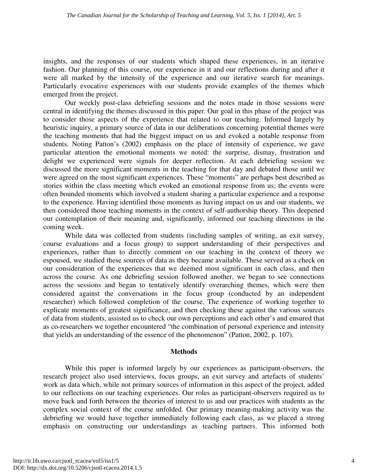insights, and the responses of our students which shaped these experiences, in an iterative fashion. Our planning of this course, our experience in it and our reflections during and after it were all marked by the intensity of the experience and our iterative search for meanings. Particularly evocative experiences with our students provide examples of the themes which emerged from the project.

Our weekly post-class debriefing sessions and the notes made in those sessions were central in identifying the themes discussed in this paper. Our goal in this phase of the project was to consider those aspects of the experience that related to our teaching. Informed largely by heuristic inquiry, a primary source of data in our deliberations concerning potential themes were the teaching moments that had the biggest impact on us and evoked a notable response from students. Noting Patton's (2002) emphasis on the place of intensity of experience, we gave particular attention the emotional moments we noted: the surprise, dismay, frustration and delight we experienced were signals for deeper reflection. At each debriefing session we discussed the more significant moments in the teaching for that day and debated those until we were agreed on the most significant experiences. These "moments" are perhaps best described as stories within the class meeting which evoked an emotional response from us; the events were often bounded moments which involved a student sharing a particular experience and a response to the experience. Having identified those moments as having impact on us and our students, we then considered those teaching moments in the context of self-authorship theory. This deepened our contemplation of their meaning and, significantly, informed our teaching directions in the coming week.

While data was collected from students (including samples of writing, an exit survey, course evaluations and a focus group) to support understanding of their perspectives and experiences, rather than to directly comment on our teaching in the context of theory we espoused, we studied these sources of data as they became available. These served as a check on our consideration of the experiences that we deemed most significant in each class, and then across the course. As one debriefing session followed another, we began to see connections across the sessions and began to tentatively identify overarching themes, which were then considered against the conversations in the focus group (conducted by an independent researcher) which followed completion of the course. The experience of working together to explicate moments of greatest significance, and then checking these against the various sources of data from students, assisted us to check our own perceptions and each other's and ensured that as co-researchers we together encountered "the combination of personal experience and intensity that yields an understanding of the essence of the phenomenon" (Patton, 2002, p. 107).

#### **Methods**

While this paper is informed largely by our experiences as participant-observers, the research project also used interviews, focus groups, an exit survey and artefacts of students' work as data which, while not primary sources of information in this aspect of the project, added to our reflections on our teaching experiences. Our roles as participant-observers required us to move back and forth between the theories of interest to us and our practices with students as the complex social context of the course unfolded. Our primary meaning-making activity was the debriefing we would have together immediately following each class, as we placed a strong emphasis on constructing our understandings as teaching partners. This informed both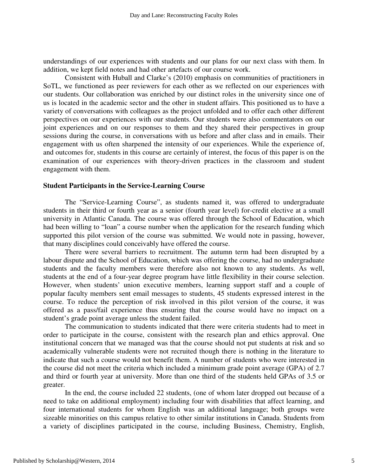understandings of our experiences with students and our plans for our next class with them. In addition, we kept field notes and had other artefacts of our course work.

Consistent with Huball and Clarke's (2010) emphasis on communities of practitioners in SoTL, we functioned as peer reviewers for each other as we reflected on our experiences with our students. Our collaboration was enriched by our distinct roles in the university since one of us is located in the academic sector and the other in student affairs. This positioned us to have a variety of conversations with colleagues as the project unfolded and to offer each other different perspectives on our experiences with our students. Our students were also commentators on our joint experiences and on our responses to them and they shared their perspectives in group sessions during the course, in conversations with us before and after class and in emails. Their engagement with us often sharpened the intensity of our experiences. While the experience of, and outcomes for, students in this course are certainly of interest, the focus of this paper is on the examination of our experiences with theory-driven practices in the classroom and student engagement with them.

#### **Student Participants in the Service-Learning Course**

The "Service-Learning Course", as students named it, was offered to undergraduate students in their third or fourth year as a senior (fourth year level) for-credit elective at a small university in Atlantic Canada. The course was offered through the School of Education, which had been willing to "loan" a course number when the application for the research funding which supported this pilot version of the course was submitted. We would note in passing, however, that many disciplines could conceivably have offered the course.

There were several barriers to recruitment. The autumn term had been disrupted by a labour dispute and the School of Education, which was offering the course, had no undergraduate students and the faculty members were therefore also not known to any students. As well, students at the end of a four-year degree program have little flexibility in their course selection. However, when students' union executive members, learning support staff and a couple of popular faculty members sent email messages to students, 45 students expressed interest in the course. To reduce the perception of risk involved in this pilot version of the course, it was offered as a pass/fail experience thus ensuring that the course would have no impact on a student's grade point average unless the student failed.

The communication to students indicated that there were criteria students had to meet in order to participate in the course, consistent with the research plan and ethics approval. One institutional concern that we managed was that the course should not put students at risk and so academically vulnerable students were not recruited though there is nothing in the literature to indicate that such a course would not benefit them. A number of students who were interested in the course did not meet the criteria which included a minimum grade point average (GPA) of 2.7 and third or fourth year at university. More than one third of the students held GPAs of 3.5 or greater.

In the end, the course included 22 students, (one of whom later dropped out because of a need to take on additional employment) including four with disabilities that affect learning, and four international students for whom English was an additional language; both groups were sizeable minorities on this campus relative to other similar institutions in Canada. Students from a variety of disciplines participated in the course, including Business, Chemistry, English,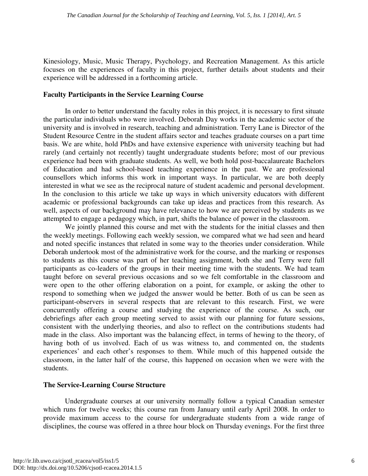Kinesiology, Music, Music Therapy, Psychology, and Recreation Management. As this article focuses on the experiences of faculty in this project, further details about students and their experience will be addressed in a forthcoming article.

#### **Faculty Participants in the Service Learning Course**

In order to better understand the faculty roles in this project, it is necessary to first situate the particular individuals who were involved. Deborah Day works in the academic sector of the university and is involved in research, teaching and administration. Terry Lane is Director of the Student Resource Centre in the student affairs sector and teaches graduate courses on a part time basis. We are white, hold PhDs and have extensive experience with university teaching but had rarely (and certainly not recently) taught undergraduate students before; most of our previous experience had been with graduate students. As well, we both hold post-baccalaureate Bachelors of Education and had school-based teaching experience in the past. We are professional counsellors which informs this work in important ways. In particular, we are both deeply interested in what we see as the reciprocal nature of student academic and personal development. In the conclusion to this article we take up ways in which university educators with different academic or professional backgrounds can take up ideas and practices from this research. As well, aspects of our background may have relevance to how we are perceived by students as we attempted to engage a pedagogy which, in part, shifts the balance of power in the classroom.

We jointly planned this course and met with the students for the initial classes and then the weekly meetings. Following each weekly session, we compared what we had seen and heard and noted specific instances that related in some way to the theories under consideration. While Deborah undertook most of the administrative work for the course, and the marking or responses to students as this course was part of her teaching assignment, both she and Terry were full participants as co-leaders of the groups in their meeting time with the students. We had team taught before on several previous occasions and so we felt comfortable in the classroom and were open to the other offering elaboration on a point, for example, or asking the other to respond to something when we judged the answer would be better. Both of us can be seen as participant-observers in several respects that are relevant to this research. First, we were concurrently offering a course and studying the experience of the course. As such, our debriefings after each group meeting served to assist with our planning for future sessions, consistent with the underlying theories, and also to reflect on the contributions students had made in the class. Also important was the balancing effect, in terms of hewing to the theory, of having both of us involved. Each of us was witness to, and commented on, the students experiences' and each other's responses to them. While much of this happened outside the classroom, in the latter half of the course, this happened on occasion when we were with the students.

#### **The Service-Learning Course Structure**

Undergraduate courses at our university normally follow a typical Canadian semester which runs for twelve weeks; this course ran from January until early April 2008. In order to provide maximum access to the course for undergraduate students from a wide range of disciplines, the course was offered in a three hour block on Thursday evenings. For the first three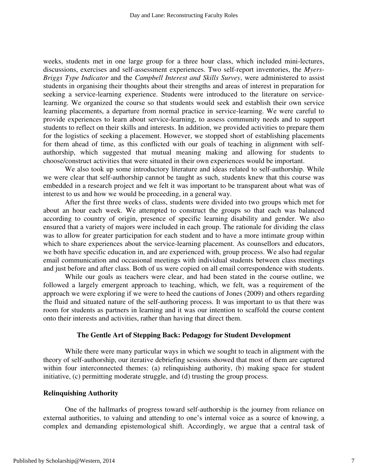weeks, students met in one large group for a three hour class, which included mini-lectures, discussions, exercises and self-assessment experiences. Two self-report inventories, the *Myers-Briggs Type Indicator* and the *Campbell Interest and Skills Survey*, were administered to assist students in organising their thoughts about their strengths and areas of interest in preparation for seeking a service-learning experience. Students were introduced to the literature on servicelearning. We organized the course so that students would seek and establish their own service learning placements, a departure from normal practice in service-learning. We were careful to provide experiences to learn about service-learning, to assess community needs and to support students to reflect on their skills and interests. In addition, we provided activities to prepare them for the logistics of seeking a placement. However, we stopped short of establishing placements for them ahead of time, as this conflicted with our goals of teaching in alignment with selfauthorship, which suggested that mutual meaning making and allowing for students to choose/construct activities that were situated in their own experiences would be important.

We also took up some introductory literature and ideas related to self-authorship. While we were clear that self-authorship cannot be taught as such, students knew that this course was embedded in a research project and we felt it was important to be transparent about what was of interest to us and how we would be proceeding, in a general way.

After the first three weeks of class, students were divided into two groups which met for about an hour each week. We attempted to construct the groups so that each was balanced according to country of origin, presence of specific learning disability and gender. We also ensured that a variety of majors were included in each group. The rationale for dividing the class was to allow for greater participation for each student and to have a more intimate group within which to share experiences about the service-learning placement. As counsellors and educators, we both have specific education in, and are experienced with, group process. We also had regular email communication and occasional meetings with individual students between class meetings and just before and after class. Both of us were copied on all email correspondence with students.

While our goals as teachers were clear, and had been stated in the course outline, we followed a largely emergent approach to teaching, which, we felt, was a requirement of the approach we were exploring if we were to heed the cautions of Jones (2009) and others regarding the fluid and situated nature of the self-authoring process. It was important to us that there was room for students as partners in learning and it was our intention to scaffold the course content onto their interests and activities, rather than having that direct them.

#### **The Gentle Art of Stepping Back: Pedagogy for Student Development**

While there were many particular ways in which we sought to teach in alignment with the theory of self-authorship, our iterative debriefing sessions showed that most of them are captured within four interconnected themes: (a) relinquishing authority, (b) making space for student initiative, (c) permitting moderate struggle, and (d) trusting the group process.

#### **Relinquishing Authority**

One of the hallmarks of progress toward self-authorship is the journey from reliance on external authorities, to valuing and attending to one's internal voice as a source of knowing, a complex and demanding epistemological shift. Accordingly, we argue that a central task of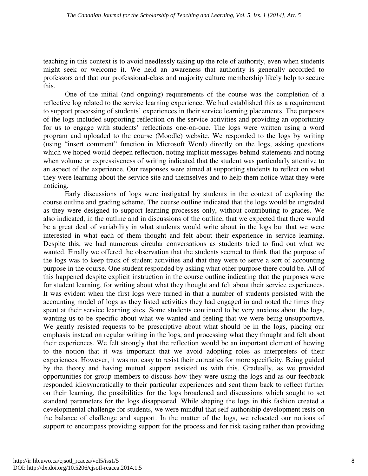teaching in this context is to avoid needlessly taking up the role of authority, even when students might seek or welcome it. We held an awareness that authority is generally accorded to professors and that our professional-class and majority culture membership likely help to secure this.

One of the initial (and ongoing) requirements of the course was the completion of a reflective log related to the service learning experience. We had established this as a requirement to support processing of students' experiences in their service learning placements. The purposes of the logs included supporting reflection on the service activities and providing an opportunity for us to engage with students' reflections one-on-one. The logs were written using a word program and uploaded to the course (Moodle) website. We responded to the logs by writing (using "insert comment" function in Microsoft Word) directly on the logs, asking questions which we hoped would deepen reflection, noting implicit messages behind statements and noting when volume or expressiveness of writing indicated that the student was particularly attentive to an aspect of the experience. Our responses were aimed at supporting students to reflect on what they were learning about the service site and themselves and to help them notice what they were noticing.

Early discussions of logs were instigated by students in the context of exploring the course outline and grading scheme. The course outline indicated that the logs would be ungraded as they were designed to support learning processes only, without contributing to grades. We also indicated, in the outline and in discussions of the outline, that we expected that there would be a great deal of variability in what students would write about in the logs but that we were interested in what each of them thought and felt about their experience in service learning. Despite this, we had numerous circular conversations as students tried to find out what we wanted. Finally we offered the observation that the students seemed to think that the purpose of the logs was to keep track of student activities and that they were to serve a sort of accounting purpose in the course. One student responded by asking what other purpose there could be. All of this happened despite explicit instruction in the course outline indicating that the purposes were for student learning, for writing about what they thought and felt about their service experiences. It was evident when the first logs were turned in that a number of students persisted with the accounting model of logs as they listed activities they had engaged in and noted the times they spent at their service learning sites. Some students continued to be very anxious about the logs, wanting us to be specific about what we wanted and feeling that we were being unsupportive. We gently resisted requests to be prescriptive about what should be in the logs, placing our emphasis instead on regular writing in the logs, and processing what they thought and felt about their experiences. We felt strongly that the reflection would be an important element of hewing to the notion that it was important that we avoid adopting roles as interpreters of their experiences. However, it was not easy to resist their entreaties for more specificity. Being guided by the theory and having mutual support assisted us with this. Gradually, as we provided opportunities for group members to discuss how they were using the logs and as our feedback responded idiosyncratically to their particular experiences and sent them back to reflect further on their learning, the possibilities for the logs broadened and discussions which sought to set standard parameters for the logs disappeared. While shaping the logs in this fashion created a developmental challenge for students, we were mindful that self-authorship development rests on the balance of challenge and support. In the matter of the logs, we relocated our notions of support to encompass providing support for the process and for risk taking rather than providing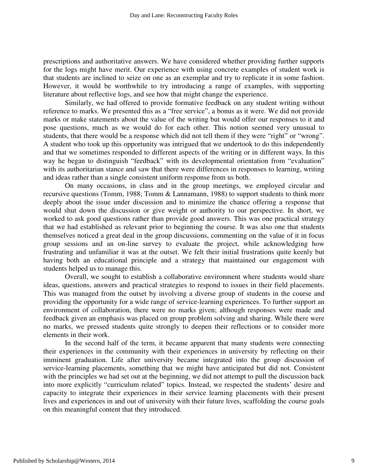prescriptions and authoritative answers. We have considered whether providing further supports for the logs might have merit. Our experience with using concrete examples of student work is that students are inclined to seize on one as an exemplar and try to replicate it in some fashion. However, it would be worthwhile to try introducing a range of examples, with supporting literature about reflective logs, and see how that might change the experience.

Similarly, we had offered to provide formative feedback on any student writing without reference to marks. We presented this as a "free service", a bonus as it were. We did not provide marks or make statements about the value of the writing but would offer our responses to it and pose questions, much as we would do for each other. This notion seemed very unusual to students, that there would be a response which did not tell them if they were "right" or "wrong". A student who took up this opportunity was intrigued that we undertook to do this independently and that we sometimes responded to different aspects of the writing or in different ways. In this way he began to distinguish "feedback" with its developmental orientation from "evaluation" with its authoritarian stance and saw that there were differences in responses to learning, writing and ideas rather than a single consistent uniform response from us both.

On many occasions, in class and in the group meetings, we employed circular and recursive questions (Tomm, 1988; Tomm & Lannamann, 1988) to support students to think more deeply about the issue under discussion and to minimize the chance offering a response that would shut down the discussion or give weight or authority to our perspective. In short, we worked to ask good questions rather than provide good answers. This was one practical strategy that we had established as relevant prior to beginning the course. It was also one that students themselves noticed a great deal in the group discussions, commenting on the value of it in focus group sessions and an on-line survey to evaluate the project, while acknowledging how frustrating and unfamiliar it was at the outset. We felt their initial frustrations quite keenly but having both an educational principle and a strategy that maintained our engagement with students helped us to manage this.

Overall, we sought to establish a collaborative environment where students would share ideas, questions, answers and practical strategies to respond to issues in their field placements. This was managed from the outset by involving a diverse group of students in the course and providing the opportunity for a wide range of service-learning experiences. To further support an environment of collaboration, there were no marks given; although responses were made and feedback given an emphasis was placed on group problem solving and sharing. While there were no marks, we pressed students quite strongly to deepen their reflections or to consider more elements in their work.

In the second half of the term, it became apparent that many students were connecting their experiences in the community with their experiences in university by reflecting on their imminent graduation. Life after university became integrated into the group discussion of service-learning placements, something that we might have anticipated but did not. Consistent with the principles we had set out at the beginning, we did not attempt to pull the discussion back into more explicitly "curriculum related" topics. Instead, we respected the students' desire and capacity to integrate their experiences in their service learning placements with their present lives and experiences in and out of university with their future lives, scaffolding the course goals on this meaningful content that they introduced.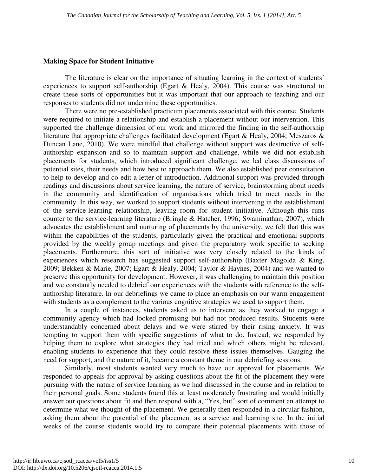#### **Making Space for Student Initiative**

The literature is clear on the importance of situating learning in the context of students' experiences to support self-authorship (Egart & Healy, 2004). This course was structured to create these sorts of opportunities but it was important that our approach to teaching and our responses to students did not undermine these opportunities.

There were no pre-established practicum placements associated with this course. Students were required to initiate a relationship and establish a placement without our intervention. This supported the challenge dimension of our work and mirrored the finding in the self-authorship literature that appropriate challenges facilitated development (Egart & Healy, 2004; Meszaros & Duncan Lane, 2010). We were mindful that challenge without support was destructive of selfauthorship expansion and so to maintain support and challenge, while we did not establish placements for students, which introduced significant challenge, we led class discussions of potential sites, their needs and how best to approach them. We also established peer consultation to help to develop and co-edit a letter of introduction. Additional support was provided through readings and discussions about service learning, the nature of service, brainstorming about needs in the community and identification of organisations which tried to meet needs in the community. In this way, we worked to support students without intervening in the establishment of the service-learning relationship, leaving room for student initiative. Although this runs counter to the service-learning literature (Bringle & Hatcher, 1996; Swaminathan, 2007), which advocates the establishment and nurturing of placements by the university, we felt that this was within the capabilities of the students, particularly given the practical and emotional supports provided by the weekly group meetings and given the preparatory work specific to seeking placements. Furthermore, this sort of initiative was very closely related to the kinds of experiences which research has suggested support self-authorship (Baxter Magolda & King, 2009; Bekken & Marie, 2007; Egart & Healy, 2004; Taylor & Haynes, 2004) and we wanted to preserve this opportunity for development. However, it was challenging to maintain this position and we constantly needed to debrief our experiences with the students with reference to the selfauthorship literature. In our debriefings we came to place an emphasis on our warm engagement with students as a complement to the various cognitive strategies we used to support them.

In a couple of instances, students asked us to intervene as they worked to engage a community agency which had looked promising but had not produced results. Students were understandably concerned about delays and we were stirred by their rising anxiety. It was tempting to support them with specific suggestions of what to do. Instead, we responded by helping them to explore what strategies they had tried and which others might be relevant, enabling students to experience that they could resolve these issues themselves. Gauging the need for support, and the nature of it, became a constant theme in our debriefing sessions.

Similarly, most students wanted very much to have our approval for placements. We responded to appeals for approval by asking questions about the fit of the placement they were pursuing with the nature of service learning as we had discussed in the course and in relation to their personal goals. Some students found this at least moderately frustrating and would initially answer our questions about fit and then respond with a, "Yes, but" sort of comment an attempt to determine what we thought of the placement. We generally then responded in a circular fashion, asking them about the potential of the placement as a service and learning site. In the initial weeks of the course students would try to compare their potential placements with those of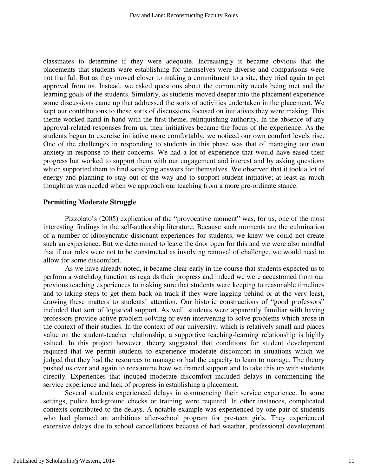classmates to determine if they were adequate. Increasingly it became obvious that the placements that students were establishing for themselves were diverse and comparisons were not fruitful. But as they moved closer to making a commitment to a site, they tried again to get approval from us. Instead, we asked questions about the community needs being met and the learning goals of the students. Similarly, as students moved deeper into the placement experience some discussions came up that addressed the sorts of activities undertaken in the placement. We kept our contributions to these sorts of discussions focused on initiatives they were making. This theme worked hand-in-hand with the first theme, relinquishing authority. In the absence of any approval-related responses from us, their initiatives became the focus of the experience. As the students began to exercise initiative more comfortably, we noticed our own comfort levels rise. One of the challenges in responding to students in this phase was that of managing our own anxiety in response to their concerns. We had a lot of experience that would have eased their progress but worked to support them with our engagement and interest and by asking questions which supported them to find satisfying answers for themselves. We observed that it took a lot of energy and planning to stay out of the way and to support student initiative; at least as much thought as was needed when we approach our teaching from a more pre-ordinate stance.

#### **Permitting Moderate Struggle**

Pizzolato's (2005) explication of the "provocative moment" was, for us, one of the most interesting findings in the self-authorship literature. Because such moments are the culmination of a number of idiosyncratic dissonant experiences for students, we knew we could not create such an experience. But we determined to leave the door open for this and we were also mindful that if our roles were not to be constructed as involving removal of challenge, we would need to allow for some discomfort.

As we have already noted, it became clear early in the course that students expected us to perform a watchdog function as regards their progress and indeed we were accustomed from our previous teaching experiences to making sure that students were keeping to reasonable timelines and to taking steps to get them back on track if they were lagging behind or at the very least, drawing these matters to students' attention. Our historic constructions of "good professors" included that sort of logistical support. As well, students were apparently familiar with having professors provide active problem-solving or even intervening to solve problems which arose in the context of their studies. In the context of our university, which is relatively small and places value on the student-teacher relationship, a supportive teaching-learning relationship is highly valued. In this project however, theory suggested that conditions for student development required that we permit students to experience moderate discomfort in situations which we judged that they had the resources to manage or had the capacity to learn to manage. The theory pushed us over and again to reexamine how we framed support and to take this up with students directly. Experiences that induced moderate discomfort included delays in commencing the service experience and lack of progress in establishing a placement.

Several students experienced delays in commencing their service experience. In some settings, police background checks or training were required. In other instances, complicated contexts contributed to the delays. A notable example was experienced by one pair of students who had planned an ambitious after-school program for pre-teen girls. They experienced extensive delays due to school cancellations because of bad weather, professional development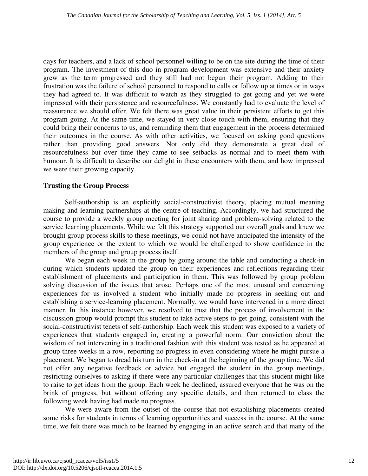days for teachers, and a lack of school personnel willing to be on the site during the time of their program. The investment of this duo in program development was extensive and their anxiety grew as the term progressed and they still had not begun their program. Adding to their frustration was the failure of school personnel to respond to calls or follow up at times or in ways they had agreed to. It was difficult to watch as they struggled to get going and yet we were impressed with their persistence and resourcefulness. We constantly had to evaluate the level of reassurance we should offer. We felt there was great value in their persistent efforts to get this program going. At the same time, we stayed in very close touch with them, ensuring that they could bring their concerns to us, and reminding them that engagement in the process determined their outcomes in the course. As with other activities, we focused on asking good questions rather than providing good answers. Not only did they demonstrate a great deal of resourcefulness but over time they came to see setbacks as normal and to meet them with humour. It is difficult to describe our delight in these encounters with them, and how impressed we were their growing capacity.

#### **Trusting the Group Process**

Self-authorship is an explicitly social-constructivist theory, placing mutual meaning making and learning partnerships at the centre of teaching. Accordingly, we had structured the course to provide a weekly group meeting for joint sharing and problem-solving related to the service learning placements. While we felt this strategy supported our overall goals and knew we brought group process skills to these meetings, we could not have anticipated the intensity of the group experience or the extent to which we would be challenged to show confidence in the members of the group and group process itself.

We began each week in the group by going around the table and conducting a check-in during which students updated the group on their experiences and reflections regarding their establishment of placements and participation in them. This was followed by group problem solving discussion of the issues that arose. Perhaps one of the most unusual and concerning experiences for us involved a student who initially made no progress in seeking out and establishing a service-learning placement. Normally, we would have intervened in a more direct manner. In this instance however, we resolved to trust that the process of involvement in the discussion group would prompt this student to take active steps to get going, consistent with the social-constructivist tenets of self-authorship. Each week this student was exposed to a variety of experiences that students engaged in, creating a powerful norm. Our conviction about the wisdom of not intervening in a traditional fashion with this student was tested as he appeared at group three weeks in a row, reporting no progress in even considering where he might pursue a placement. We began to dread his turn in the check-in at the beginning of the group time. We did not offer any negative feedback or advice but engaged the student in the group meetings, restricting ourselves to asking if there were any particular challenges that this student might like to raise to get ideas from the group. Each week he declined, assured everyone that he was on the brink of progress, but without offering any specific details, and then returned to class the following week having had made no progress.

We were aware from the outset of the course that not establishing placements created some risks for students in terms of learning opportunities and success in the course. At the same time, we felt there was much to be learned by engaging in an active search and that many of the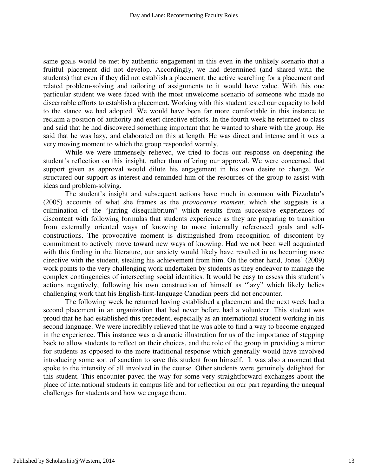same goals would be met by authentic engagement in this even in the unlikely scenario that a fruitful placement did not develop. Accordingly, we had determined (and shared with the students) that even if they did not establish a placement, the active searching for a placement and related problem-solving and tailoring of assignments to it would have value. With this one particular student we were faced with the most unwelcome scenario of someone who made no discernable efforts to establish a placement. Working with this student tested our capacity to hold to the stance we had adopted. We would have been far more comfortable in this instance to reclaim a position of authority and exert directive efforts. In the fourth week he returned to class and said that he had discovered something important that he wanted to share with the group. He said that he was lazy, and elaborated on this at length. He was direct and intense and it was a very moving moment to which the group responded warmly.

While we were immensely relieved, we tried to focus our response on deepening the student's reflection on this insight, rather than offering our approval. We were concerned that support given as approval would dilute his engagement in his own desire to change. We structured our support as interest and reminded him of the resources of the group to assist with ideas and problem-solving.

The student's insight and subsequent actions have much in common with Pizzolato's (2005) accounts of what she frames as the *provocative moment,* which she suggests is a culmination of the "jarring disequilibrium" which results from successive experiences of discontent with following formulas that students experience as they are preparing to transition from externally oriented ways of knowing to more internally referenced goals and selfconstructions. The provocative moment is distinguished from recognition of discontent by commitment to actively move toward new ways of knowing. Had we not been well acquainted with this finding in the literature, our anxiety would likely have resulted in us becoming more directive with the student, stealing his achievement from him. On the other hand, Jones' (2009) work points to the very challenging work undertaken by students as they endeavor to manage the complex contingencies of intersecting social identities. It would be easy to assess this student's actions negatively, following his own construction of himself as "lazy" which likely belies challenging work that his English-first-language Canadian peers did not encounter.

The following week he returned having established a placement and the next week had a second placement in an organization that had never before had a volunteer. This student was proud that he had established this precedent, especially as an international student working in his second language. We were incredibly relieved that he was able to find a way to become engaged in the experience. This instance was a dramatic illustration for us of the importance of stepping back to allow students to reflect on their choices, and the role of the group in providing a mirror for students as opposed to the more traditional response which generally would have involved introducing some sort of sanction to save this student from himself. It was also a moment that spoke to the intensity of all involved in the course. Other students were genuinely delighted for this student. This encounter paved the way for some very straightforward exchanges about the place of international students in campus life and for reflection on our part regarding the unequal challenges for students and how we engage them.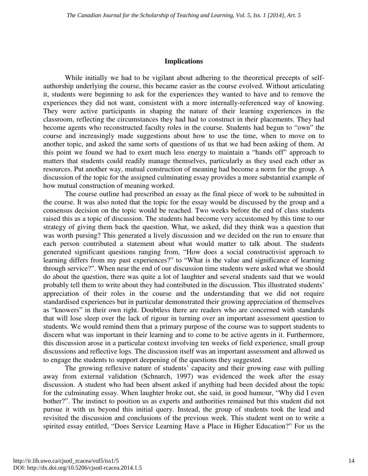#### **Implications**

While initially we had to be vigilant about adhering to the theoretical precepts of selfauthorship underlying the course, this became easier as the course evolved. Without articulating it, students were beginning to ask for the experiences they wanted to have and to remove the experiences they did not want, consistent with a more internally-referenced way of knowing. They were active participants in shaping the nature of their learning experiences in the classroom, reflecting the circumstances they had had to construct in their placements. They had become agents who reconstructed faculty roles in the course. Students had begun to "own" the course and increasingly made suggestions about how to use the time, when to move on to another topic, and asked the same sorts of questions of us that we had been asking of them. At this point we found we had to exert much less energy to maintain a "hands off" approach to matters that students could readily manage themselves, particularly as they used each other as resources. Put another way, mutual construction of meaning had become a norm for the group. A discussion of the topic for the assigned culminating essay provides a more substantial example of how mutual construction of meaning worked.

The course outline had prescribed an essay as the final piece of work to be submitted in the course. It was also noted that the topic for the essay would be discussed by the group and a consensus decision on the topic would be reached. Two weeks before the end of class students raised this as a topic of discussion. The students had become very accustomed by this time to our strategy of giving them back the question. What, we asked, did they think was a question that was worth pursing? This generated a lively discussion and we decided on the run to ensure that each person contributed a statement about what would matter to talk about. The students generated significant questions ranging from, "How does a social constructivist approach to learning differs from my past experiences?" to "What is the value and significance of learning through service?". When near the end of our discussion time students were asked what we should do about the question, there was quite a lot of laughter and several students said that we would probably tell them to write about they had contributed in the discussion. This illustrated students' appreciation of their roles in the course and the understanding that we did not require standardised experiences but in particular demonstrated their growing appreciation of themselves as "knowers" in their own right. Doubtless there are readers who are concerned with standards that will lose sleep over the lack of rigour in turning over an important assessment question to students. We would remind them that a primary purpose of the course was to support students to discern what was important in their learning and to come to be active agents in it. Furthermore, this discussion arose in a particular context involving ten weeks of field experience, small group discussions and reflective logs. The discussion itself was an important assessment and allowed us to engage the students to support deepening of the questions they suggested.

The growing reflexive nature of students' capacity and their growing ease with pulling away from external validation (Schnarch, 1997) was evidenced the week after the essay discussion. A student who had been absent asked if anything had been decided about the topic for the culminating essay. When laughter broke out, she said, in good humour, "Why did I even bother?". The instinct to position us as experts and authorities remained but this student did not pursue it with us beyond this initial query. Instead, the group of students took the lead and revisited the discussion and conclusions of the previous week. This student went on to write a spirited essay entitled, "Does Service Learning Have a Place in Higher Education?" For us the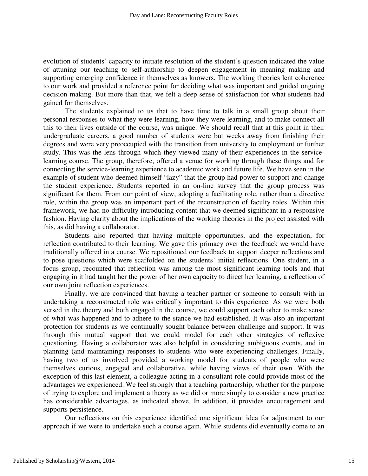evolution of students' capacity to initiate resolution of the student's question indicated the value of attuning our teaching to self-authorship to deepen engagement in meaning making and supporting emerging confidence in themselves as knowers. The working theories lent coherence to our work and provided a reference point for deciding what was important and guided ongoing decision making. But more than that, we felt a deep sense of satisfaction for what students had gained for themselves.

The students explained to us that to have time to talk in a small group about their personal responses to what they were learning, how they were learning, and to make connect all this to their lives outside of the course, was unique. We should recall that at this point in their undergraduate careers, a good number of students were but weeks away from finishing their degrees and were very preoccupied with the transition from university to employment or further study. This was the lens through which they viewed many of their experiences in the servicelearning course. The group, therefore, offered a venue for working through these things and for connecting the service-learning experience to academic work and future life. We have seen in the example of student who deemed himself "lazy" that the group had power to support and change the student experience. Students reported in an on-line survey that the group process was significant for them. From our point of view, adopting a facilitating role, rather than a directive role, within the group was an important part of the reconstruction of faculty roles. Within this framework, we had no difficulty introducing content that we deemed significant in a responsive fashion. Having clarity about the implications of the working theories in the project assisted with this, as did having a collaborator.

Students also reported that having multiple opportunities, and the expectation, for reflection contributed to their learning. We gave this primacy over the feedback we would have traditionally offered in a course. We repositioned our feedback to support deeper reflections and to pose questions which were scaffolded on the students' initial reflections. One student, in a focus group, recounted that reflection was among the most significant learning tools and that engaging in it had taught her the power of her own capacity to direct her learning, a reflection of our own joint reflection experiences.

Finally, we are convinced that having a teacher partner or someone to consult with in undertaking a reconstructed role was critically important to this experience. As we were both versed in the theory and both engaged in the course, we could support each other to make sense of what was happened and to adhere to the stance we had established. It was also an important protection for students as we continually sought balance between challenge and support. It was through this mutual support that we could model for each other strategies of reflexive questioning. Having a collaborator was also helpful in considering ambiguous events, and in planning (and maintaining) responses to students who were experiencing challenges. Finally, having two of us involved provided a working model for students of people who were themselves curious, engaged and collaborative, while having views of their own. With the exception of this last element, a colleague acting in a consultant role could provide most of the advantages we experienced. We feel strongly that a teaching partnership, whether for the purpose of trying to explore and implement a theory as we did or more simply to consider a new practice has considerable advantages, as indicated above. In addition, it provides encouragement and supports persistence.

Our reflections on this experience identified one significant idea for adjustment to our approach if we were to undertake such a course again. While students did eventually come to an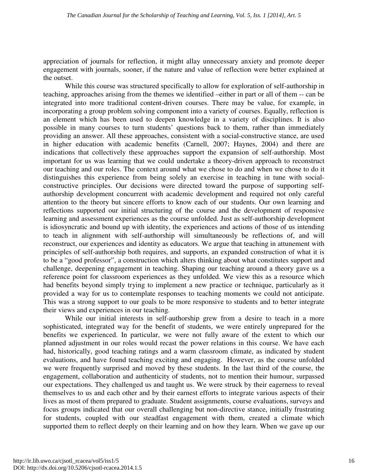appreciation of journals for reflection, it might allay unnecessary anxiety and promote deeper engagement with journals, sooner, if the nature and value of reflection were better explained at the outset.

While this course was structured specifically to allow for exploration of self-authorship in teaching, approaches arising from the themes we identified –either in part or all of them -- can be integrated into more traditional content-driven courses. There may be value, for example, in incorporating a group problem solving component into a variety of courses. Equally, reflection is an element which has been used to deepen knowledge in a variety of disciplines. It is also possible in many courses to turn students' questions back to them, rather than immediately providing an answer. All these approaches, consistent with a social-constructive stance, are used in higher education with academic benefits (Carnell, 2007; Haynes, 2004) and there are indications that collectively these approaches support the expansion of self-authorship. Most important for us was learning that we could undertake a theory-driven approach to reconstruct our teaching and our roles. The context around what we chose to do and when we chose to do it distinguishes this experience from being solely an exercise in teaching in tune with socialconstructive principles. Our decisions were directed toward the purpose of supporting selfauthorship development concurrent with academic development and required not only careful attention to the theory but sincere efforts to know each of our students. Our own learning and reflections supported our initial structuring of the course and the development of responsive learning and assessment experiences as the course unfolded. Just as self-authorship development is idiosyncratic and bound up with identity, the experiences and actions of those of us intending to teach in alignment with self-authorship will simultaneously be reflections of, and will reconstruct, our experiences and identity as educators. We argue that teaching in attunement with principles of self-authorship both requires, and supports, an expanded construction of what it is to be a "good professor", a construction which alters thinking about what constitutes support and challenge, deepening engagement in teaching. Shaping our teaching around a theory gave us a reference point for classroom experiences as they unfolded. We view this as a resource which had benefits beyond simply trying to implement a new practice or technique, particularly as it provided a way for us to contemplate responses to teaching moments we could not anticipate. This was a strong support to our goals to be more responsive to students and to better integrate their views and experiences in our teaching.

While our initial interests in self-authorship grew from a desire to teach in a more sophisticated, integrated way for the benefit of students, we were entirely unprepared for the benefits we experienced. In particular, we were not fully aware of the extent to which our planned adjustment in our roles would recast the power relations in this course. We have each had, historically, good teaching ratings and a warm classroom climate, as indicated by student evaluations, and have found teaching exciting and engaging. However, as the course unfolded we were frequently surprised and moved by these students. In the last third of the course, the engagement, collaboration and authenticity of students, not to mention their humour, surpassed our expectations. They challenged us and taught us. We were struck by their eagerness to reveal themselves to us and each other and by their earnest efforts to integrate various aspects of their lives as most of them prepared to graduate. Student assignments, course evaluations, surveys and focus groups indicated that our overall challenging but non-directive stance, initially frustrating for students, coupled with our steadfast engagement with them, created a climate which supported them to reflect deeply on their learning and on how they learn. When we gave up our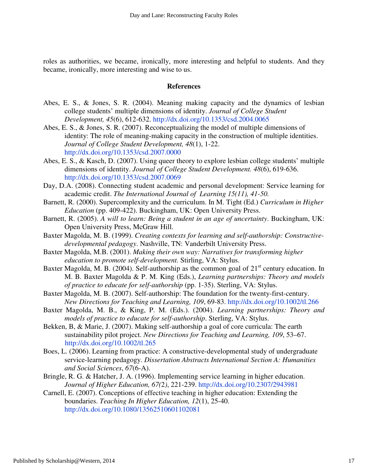roles as authorities, we became, ironically, more interesting and helpful to students. And they became, ironically, more interesting and wise to us.

#### **References**

- Abes, E. S., & Jones, S. R. (2004). Meaning making capacity and the dynamics of lesbian college students' multiple dimensions of identity. *Journal of College Student Development, 45*(6), 612-632. http://dx.doi.org/10.1353/csd.2004.0065
- Abes, E. S., & Jones, S. R. (2007). Reconceptualizing the model of multiple dimensions of identity: The role of meaning-making capacity in the construction of multiple identities. *Journal of College Student Development, 48*(1), 1-22. http://dx.doi.org/10.1353/csd.2007.0000
- Abes, E. S., & Kasch, D. (2007). Using queer theory to explore lesbian college students' multiple dimensions of identity. *Journal of College Student Development. 48*(6), 619-636. http://dx.doi.org/10.1353/csd.2007.0069
- Day, D.A. (2008). Connecting student academic and personal development: Service learning for academic credit. *The International Journal of Learning 15(11), 41-50.*
- Barnett, R. (2000). Supercomplexity and the curriculum. In M. Tight (Ed.) *Curriculum in Higher Education* (pp. 409-422). Buckingham, UK: Open University Press.
- Barnett, R. (2005). *A will to learn: Being a student in an age of uncertainty*. Buckingham, UK: Open University Press, McGraw Hill.
- Baxter Magolda, M. B. (1999). *Creating contexts for learning and self-authorship: Constructive developmental pedagogy*. Nashville, TN: Vanderbilt University Press.
- Baxter Magolda, M.B. (2001). *Making their own way: Narratives for transforming higher education to promote self-development.* Stirling, VA: Stylus.
- Baxter Magolda, M. B. (2004). Self-authorship as the common goal of  $21<sup>st</sup>$  century education. In M. B. Baxter Magolda & P. M. King (Eds.), *Learning partnerships: Theory and models of practice to educate for self-authorship* (pp. 1-35). Sterling, VA: Stylus.
- Baxter Magolda, M. B. (2007). Self-authorship: The foundation for the twenty-first-century. *New Directions for Teaching and Learning, 109*, 69-83. http://dx.doi.org/10.1002/tl.266
- Baxter Magolda, M. B., & King, P. M. (Eds.). (2004). *Learning partnerships: Theory and models of practice to educate for self-authorship*. Sterling, VA: Stylus.
- Bekken, B, & Marie, J. (2007). Making self-authorship a goal of core curricula: The earth sustainability pilot project. *New Directions for Teaching and Learning, 109*, 53–67. http://dx.doi.org/10.1002/tl.265
- Boes, L. (2006). Learning from practice: A constructive-developmental study of undergraduate service-learning pedagogy. *Dissertation Abstracts International Section A: Humanities and Social Sciences*, *67*(6-A).
- Bringle, R. G. & Hatcher, J. A. (1996). Implementing service learning in higher education. *Journal of Higher Education, 67(*2*)*, 221-239. http://dx.doi.org/10.2307/2943981
- Carnell, E. (2007). Conceptions of effective teaching in higher education: Extending the boundaries. *Teaching In Higher Education, 12*(1), 25-40. http://dx.doi.org/10.1080/13562510601102081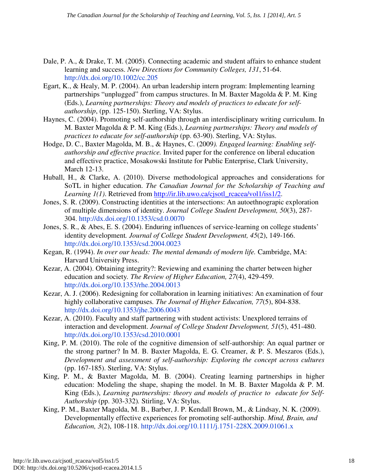- Dale, P. A., & Drake, T. M. (2005). Connecting academic and student affairs to enhance student learning and success. *New Directions for Community Colleges, 131*, 51-64. http://dx.doi.org/10.1002/cc.205
- Egart, K., & Healy, M. P. (2004). An urban leadership intern program: Implementing learning partnerships "unplugged" from campus structures. In M. Baxter Magolda & P. M. King (Eds.), *Learning partnerships: Theory and models of practices to educate for self authorship*, (pp. 125-150). Sterling, VA: Stylus.
- Haynes, C. (2004). Promoting self-authorship through an interdisciplinary writing curriculum. In M. Baxter Magolda & P. M. King (Eds.), *Learning partnerships: Theory and models of practices to educate for self-authorship* (pp. 63-90). Sterling, VA: Stylus.
- Hodge, D. C., Baxter Magolda, M. B., & Haynes, C. (2009*). Engaged learning: Enabling self authorship and effective practice.* Invited paper for the conference on liberal education and effective practice, Mosakowski Institute for Public Enterprise, Clark University, March 12-13.
- Huball, H., & Clarke, A. (2010). Diverse methodological approaches and considerations for SoTL in higher education. *The Canadian Journal for the Scholarship of Teaching and Learning 1(1)*. Retrieved from http://ir.lib.uwo.ca/cjsotl\_rcacea/vol1/iss1/2.
- Jones, S. R. (2009). Constructing identities at the intersections: An autoethnograpic exploration of multiple dimensions of identity. *Journal College Student Development, 50*(3), 287- 304. http://dx.doi.org/10.1353/csd.0.0070
- Jones, S. R., & Abes, E. S. (2004). Enduring influences of service-learning on college students' identity development*. Journal of College Student Development, 45*(2), 149-166. http://dx.doi.org/10.1353/csd.2004.0023
- Kegan, R. (1994). *In over our heads: The mental demands of modern life.* Cambridge, MA: Harvard University Press.
- Kezar, A. (2004). Obtaining integrity?: Reviewing and examining the charter between higher education and society*. The Review of Higher Education, 27*(4), 429-459. http://dx.doi.org/10.1353/rhe.2004.0013
- Kezar, A. J. (2006). Redesigning for collaboration in learning initiatives: An examination of four highly collaborative campuses*. The Journal of Higher Education, 77*(5), 804-838. http://dx.doi.org/10.1353/jhe.2006.0043
- Kezar, A. (2010). Faculty and staff partnering with student activists: Unexplored terrains of interaction and development. *Journal of College Student Development, 51*(5), 451-480. http://dx.doi.org/10.1353/csd.2010.0001
- King, P. M. (2010). The role of the cognitive dimension of self-authorship: An equal partner or the strong partner? In M. B. Baxter Magolda, E. G. Creamer, & P. S. Meszaros (Eds.), *Development and assessment of self-authorship: Exploring the concept across cultures*  (pp. 167-185). Sterling, VA: Stylus.
- King, P. M., & Baxter Magolda, M. B. (2004). Creating learning partnerships in higher education: Modeling the shape, shaping the model. In M. B. Baxter Magolda & P. M. King (Eds.), *Learning partnerships: theory and models of practice to educate for Self-Authorship* (pp. 303-332)*.* Stirling, VA: Stylus.
- King, P. M., Baxter Magolda, M. B., Barber, J. P. Kendall Brown, M., & Lindsay, N. K. (2009). Developmentally effective experiences for promoting self-authorship. *Mind, Brain, and Education, 3*(2), 108-118. http://dx.doi.org/10.1111/j.1751-228X.2009.01061.x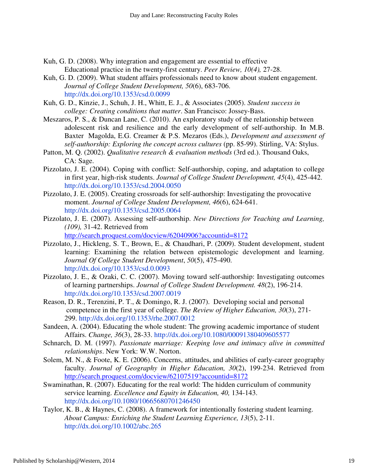- Kuh, G. D. (2008). Why integration and engagement are essential to effective Educational practice in the twenty-first century. *Peer Review, 10(4),* 27-28.
- Kuh, G. D. (2009). What student affairs professionals need to know about student engagement. *Journal of College Student Development, 50*(6), 683-706. http://dx.doi.org/10.1353/csd.0.0099
- Kuh, G. D., Kinzie, J., Schuh, J. H., Whitt, E. J., & Associates (2005). *Student success in college: Creating conditions that matter*. San Francisco: Jossey-Bass.
- Meszaros, P. S., & Duncan Lane, C. (2010). An exploratory study of the relationship between adolescent risk and resilience and the early development of self-authorship. In M.B. Baxter Magolda, E.G. Creamer & P.S. Mezaros (Eds.), *Development and assessment of self-authorship: Exploring the concept across cultures* (pp. 85-99). Stirling, VA: Stylus.
- Patton, M. Q. (2002). *Qualitative research & evaluation methods* (3rd ed.). Thousand Oaks, CA: Sage.
- Pizzolato, J. E. (2004). Coping with conflict: Self-authorship, coping, and adaptation to college in first year, high-risk students. *Journal of College Student Development, 45*(4), 425-442. http://dx.doi.org/10.1353/csd.2004.0050
- Pizzolato, J. E. (2005). Creating crossroads for self-authorship: Investigating the provocative moment. *Journal of College Student Development, 46*(6), 624-641. http://dx.doi.org/10.1353/csd.2005.0064
- Pizzolato, J. E. (2007). Assessing self-authorship. *New Directions for Teaching and Learning, (109),* 31-42. Retrieved from http://search.proquest.com/docview/62040906?accountid=8172
- Pizzolato, J., Hickleng, S. T., Brown, E., & Chaudhari, P. (2009). Student development, student learning: Examining the relation between epistemologic development and learning. *Journal Of College Student Development*, *50*(5), 475-490. http://dx.doi.org/10.1353/csd.0.0093
- Pizzolato, J. E., & Ozaki, C. C. (2007). Moving toward self-authorship: Investigating outcomes of learning partnerships. *Journal of College Student Development. 48*(2), 196-214. http://dx.doi.org/10.1353/csd.2007.0019
- Reason, D. R., Terenzini, P. T., & Domingo, R. J. (2007). Developing social and personal competence in the first year of college. *The Review of Higher Education, 30*(3), 271- 299. http://dx.doi.org/10.1353/rhe.2007.0012
- Sandeen, A. (2004). Educating the whole student: The growing academic importance of student Affairs. *Change, 36*(3), 28-33. http://dx.doi.org/10.1080/00091380409605577
- Schnarch, D. M. (1997). *Passionate marriage: Keeping love and intimacy alive in committed relationships*. New York: W.W. Norton.
- Solem, M. N., & Foote, K. E. (2006). Concerns, attitudes, and abilities of early-career geography faculty. *Journal of Geography in Higher Education, 30*(2), 199-234. Retrieved from http://search.proquest.com/docview/62107519?accountid=8172
- Swaminathan, R. (2007). Educating for the real world: The hidden curriculum of community service learning. *Excellence and Equity in Education, 40,* 134-143. http://dx.doi.org/10.1080/10665680701246450
- Taylor, K. B., & Haynes, C. (2008). A framework for intentionally fostering student learning. *About Campus: Enriching the Student Learning Experience, 13*(5), 2-11. http://dx.doi.org/10.1002/abc.265